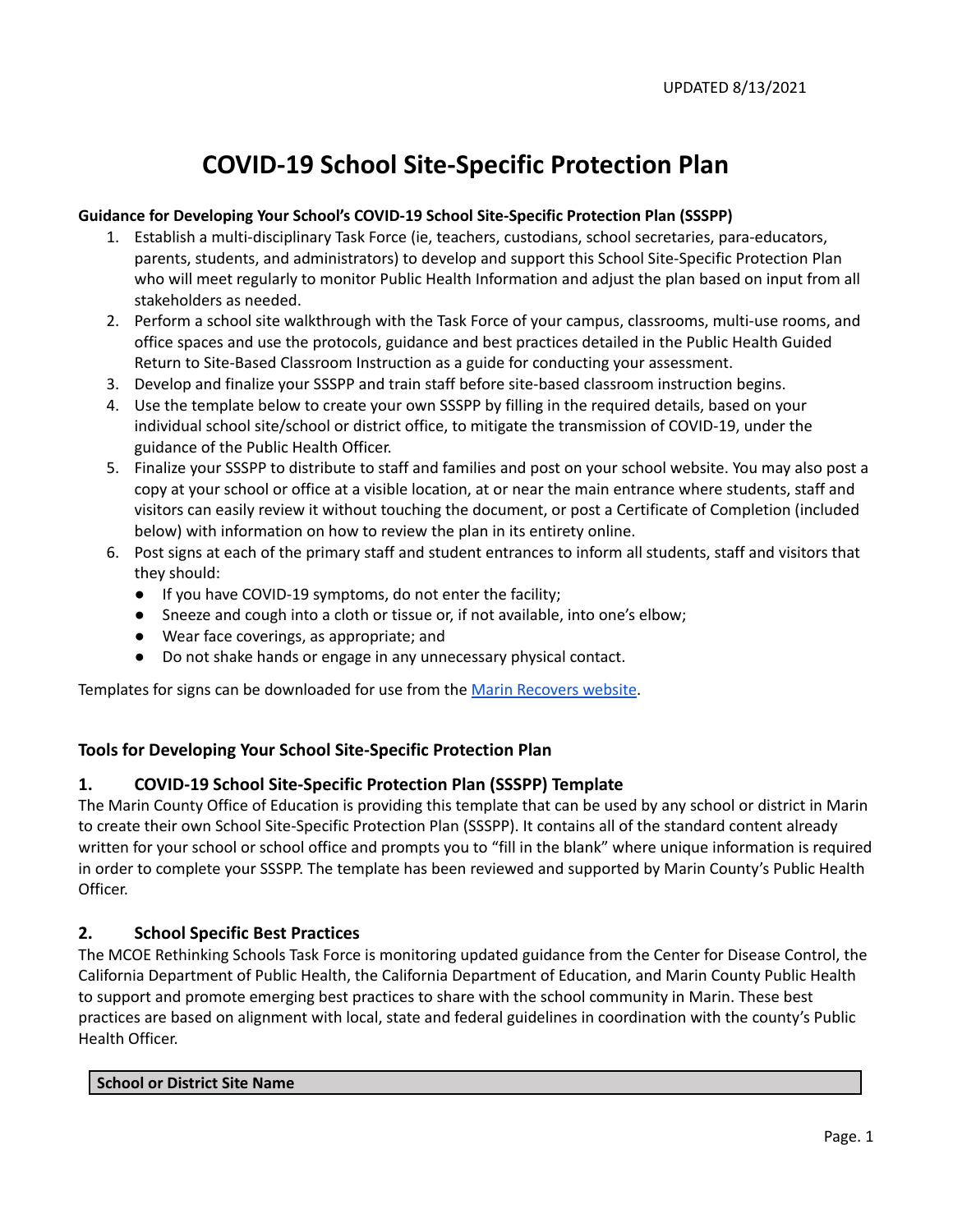### **COVID-19 School Site-Specific Protection Plan**

#### **Guidance for Developing Your School's COVID-19 School Site-Specific Protection Plan (SSSPP)**

- 1. Establish a multi-disciplinary Task Force (ie, teachers, custodians, school secretaries, para-educators, parents, students, and administrators) to develop and support this School Site-Specific Protection Plan who will meet regularly to monitor Public Health Information and adjust the plan based on input from all stakeholders as needed.
- 2. Perform a school site walkthrough with the Task Force of your campus, classrooms, multi-use rooms, and office spaces and use the protocols, guidance and best practices detailed in the Public Health Guided Return to Site-Based Classroom Instruction as a guide for conducting your assessment.
- 3. Develop and finalize your SSSPP and train staff before site-based classroom instruction begins.
- 4. Use the template below to create your own SSSPP by filling in the required details, based on your individual school site/school or district office, to mitigate the transmission of COVID-19, under the guidance of the Public Health Officer.
- 5. Finalize your SSSPP to distribute to staff and families and post on your school website. You may also post a copy at your school or office at a visible location, at or near the main entrance where students, staff and visitors can easily review it without touching the document, or post a Certificate of Completion (included below) with information on how to review the plan in its entirety online.
- 6. Post signs at each of the primary staff and student entrances to inform all students, staff and visitors that they should:
	- If you have COVID-19 symptoms, do not enter the facility;
	- Sneeze and cough into a cloth or tissue or, if not available, into one's elbow;
	- Wear face coverings, as appropriate; and
	- Do not shake hands or engage in any unnecessary physical contact.

Templates for signs can be downloaded for use from the Marin [Recovers](https://marinrecovers.com/documents/reopening-signage-for-businesses/) website.

#### **Tools for Developing Your School Site-Specific Protection Plan**

#### **1. COVID-19 School Site-Specific Protection Plan (SSSPP) Template**

The Marin County Office of Education is providing this template that can be used by any school or district in Marin to create their own School Site-Specific Protection Plan (SSSPP). It contains all of the standard content already written for your school or school office and prompts you to "fill in the blank" where unique information is required in order to complete your SSSPP. The template has been reviewed and supported by Marin County's Public Health Officer.

#### **2. School Specific Best Practices**

The MCOE Rethinking Schools Task Force is monitoring updated guidance from the Center for Disease Control, the California Department of Public Health, the California Department of Education, and Marin County Public Health to support and promote emerging best practices to share with the school community in Marin. These best practices are based on alignment with local, state and federal guidelines in coordination with the county's Public Health Officer.

#### **School or District Site Name**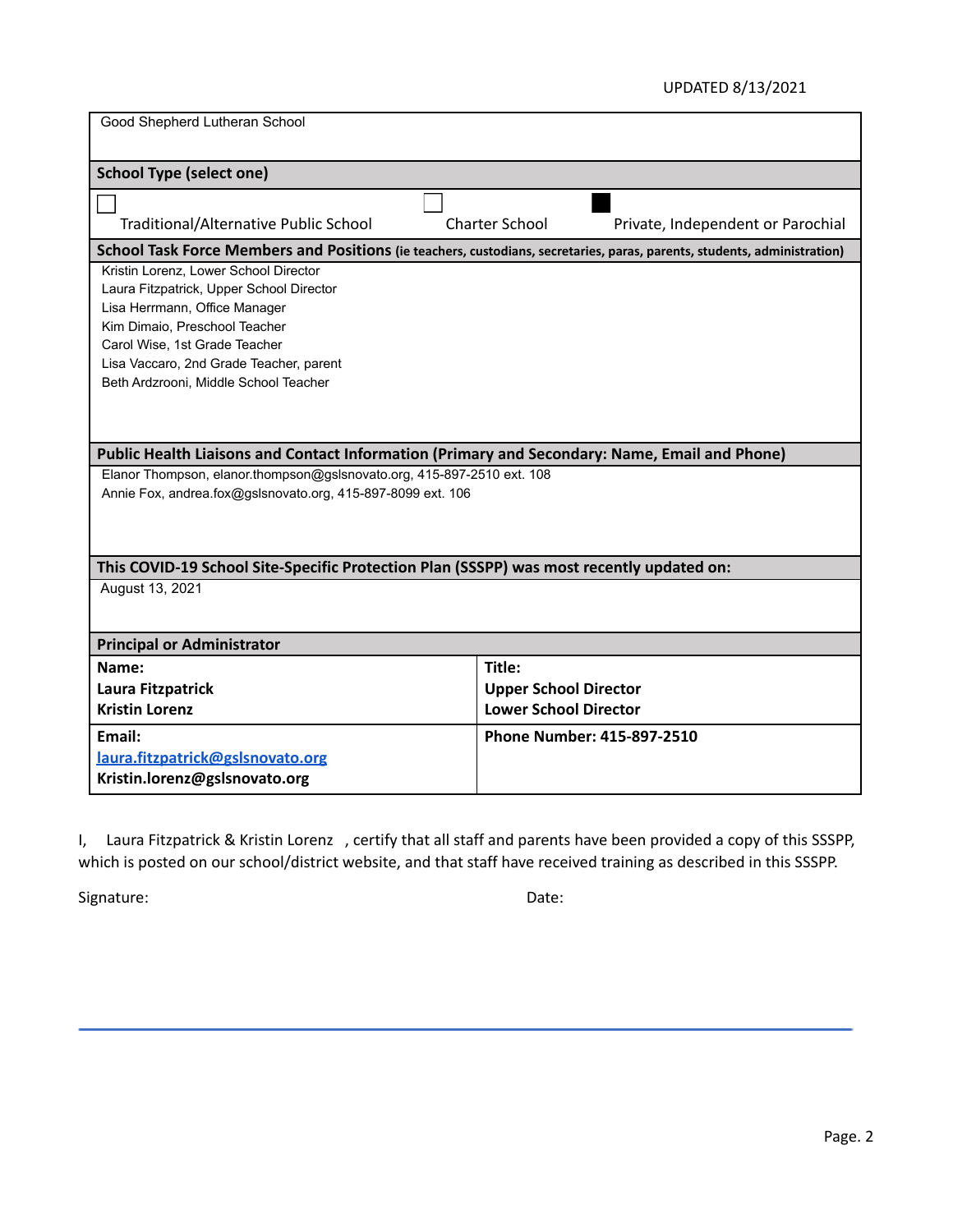#### UPDATED 8/13/2021

| Good Shepherd Lutheran School                                                                                            |                                                            |
|--------------------------------------------------------------------------------------------------------------------------|------------------------------------------------------------|
| <b>School Type (select one)</b>                                                                                          |                                                            |
|                                                                                                                          |                                                            |
| Traditional/Alternative Public School                                                                                    | <b>Charter School</b><br>Private, Independent or Parochial |
| School Task Force Members and Positions (ie teachers, custodians, secretaries, paras, parents, students, administration) |                                                            |
| Kristin Lorenz. Lower School Director                                                                                    |                                                            |
| Laura Fitzpatrick, Upper School Director                                                                                 |                                                            |
| Lisa Herrmann, Office Manager                                                                                            |                                                            |
| Kim Dimaio, Preschool Teacher<br>Carol Wise, 1st Grade Teacher                                                           |                                                            |
| Lisa Vaccaro, 2nd Grade Teacher, parent                                                                                  |                                                            |
| Beth Ardzrooni, Middle School Teacher                                                                                    |                                                            |
|                                                                                                                          |                                                            |
|                                                                                                                          |                                                            |
| Public Health Liaisons and Contact Information (Primary and Secondary: Name, Email and Phone)                            |                                                            |
| Elanor Thompson, elanor.thompson@gslsnovato.org, 415-897-2510 ext. 108                                                   |                                                            |
| Annie Fox, andrea.fox@gslsnovato.org, 415-897-8099 ext. 106                                                              |                                                            |
|                                                                                                                          |                                                            |
|                                                                                                                          |                                                            |
| This COVID-19 School Site-Specific Protection Plan (SSSPP) was most recently updated on:                                 |                                                            |
| August 13, 2021                                                                                                          |                                                            |
|                                                                                                                          |                                                            |
| <b>Principal or Administrator</b>                                                                                        |                                                            |
| Name:                                                                                                                    | Title:                                                     |
| Laura Fitzpatrick                                                                                                        | <b>Upper School Director</b>                               |
| <b>Kristin Lorenz</b>                                                                                                    | <b>Lower School Director</b>                               |
|                                                                                                                          |                                                            |
| Email:                                                                                                                   | <b>Phone Number: 415-897-2510</b>                          |
| laura.fitzpatrick@gslsnovato.org                                                                                         |                                                            |
| Kristin.lorenz@gslsnovato.org                                                                                            |                                                            |

I, Laura Fitzpatrick & Kristin Lorenz , certify that all staff and parents have been provided a copy of this SSSPP, which is posted on our school/district website, and that staff have received training as described in this SSSPP.

Signature: Date: Date: Date: Date: Date: Date: Date: Date: Date: Date: Date: Date: Date: Date: Date: Date: Date: Date: Date: Date: Date: Date: Date: Date: Date: Date: Date: Date: Date: Date: Date: Date: Date: Date: Date: D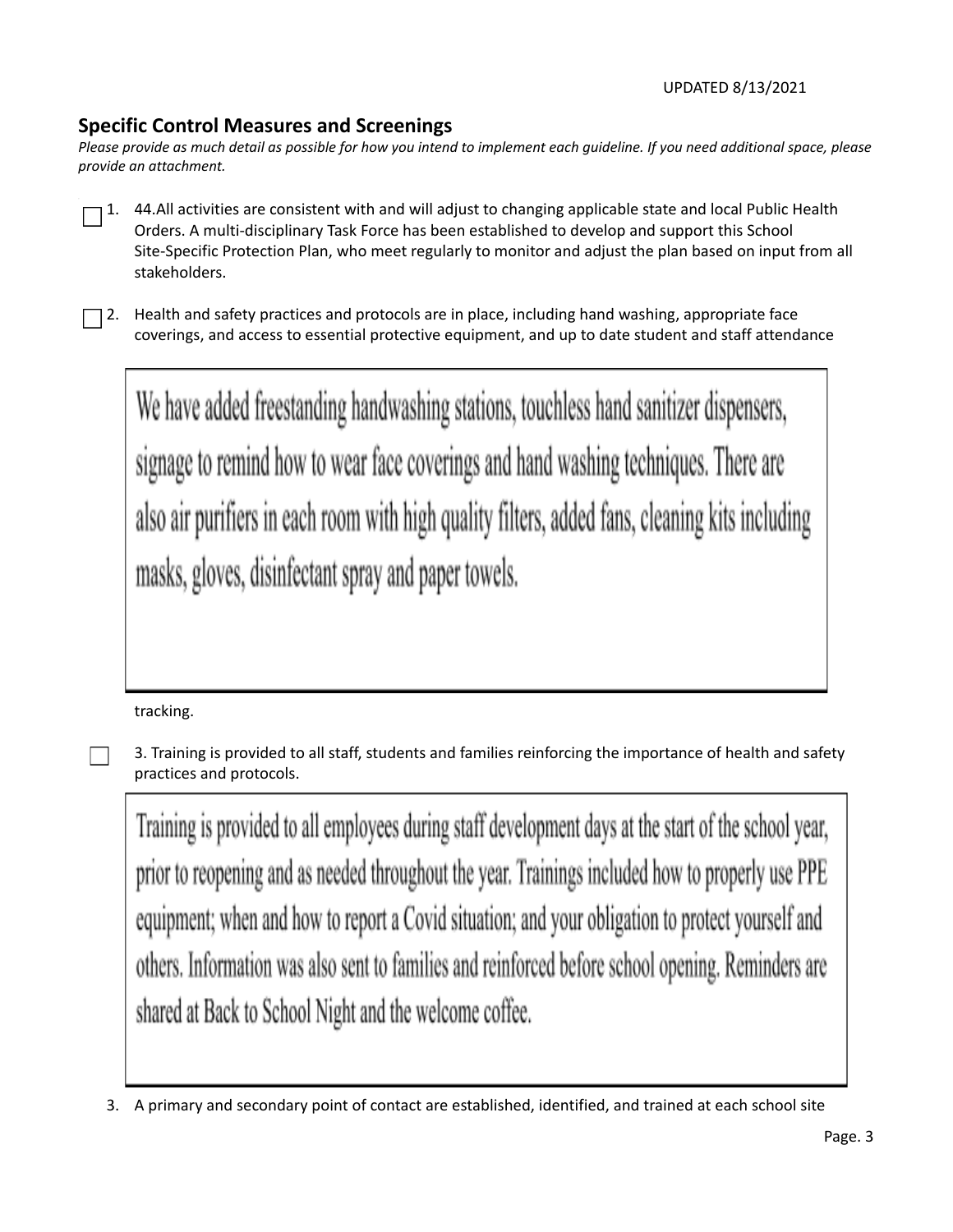#### **Specific Control Measures and Screenings**

Please provide as much detail as possible for how you intend to implement each quideline. If you need additional space, please *provide an attachment.*

- 1. 44.All activities are consistent with and will adjust to changing applicable state and local Public Health Orders. A multi-disciplinary Task Force has been established to develop and support this School Site-Specific Protection Plan, who meet regularly to monitor and adjust the plan based on input from all stakeholders.
- 2. Health and safety practices and protocols are in place, including hand washing, appropriate face coverings, and access to essential protective equipment, and up to date student and staff attendance

We have added freestanding handwashing stations, touchless hand sanitizer dispensers, signage to remind how to wear face coverings and hand washing techniques. There are also air purifiers in each room with high quality filters, added fans, cleaning kits including masks, gloves, disinfectant spray and paper towels.

tracking.

3. Training is provided to all staff, students and families reinforcing the importance of health and safety practices and protocols.

Training is provided to all employees during staff development days at the start of the school year, prior to reopening and as needed throughout the year. Trainings included how to properly use PPE equipment; when and how to report a Covid situation; and your obligation to protect yourself and others. Information was also sent to families and reinforced before school opening. Reminders are shared at Back to School Night and the welcome coffee.

<sup>3.</sup> A primary and secondary point of contact are established, identified, and trained at each school site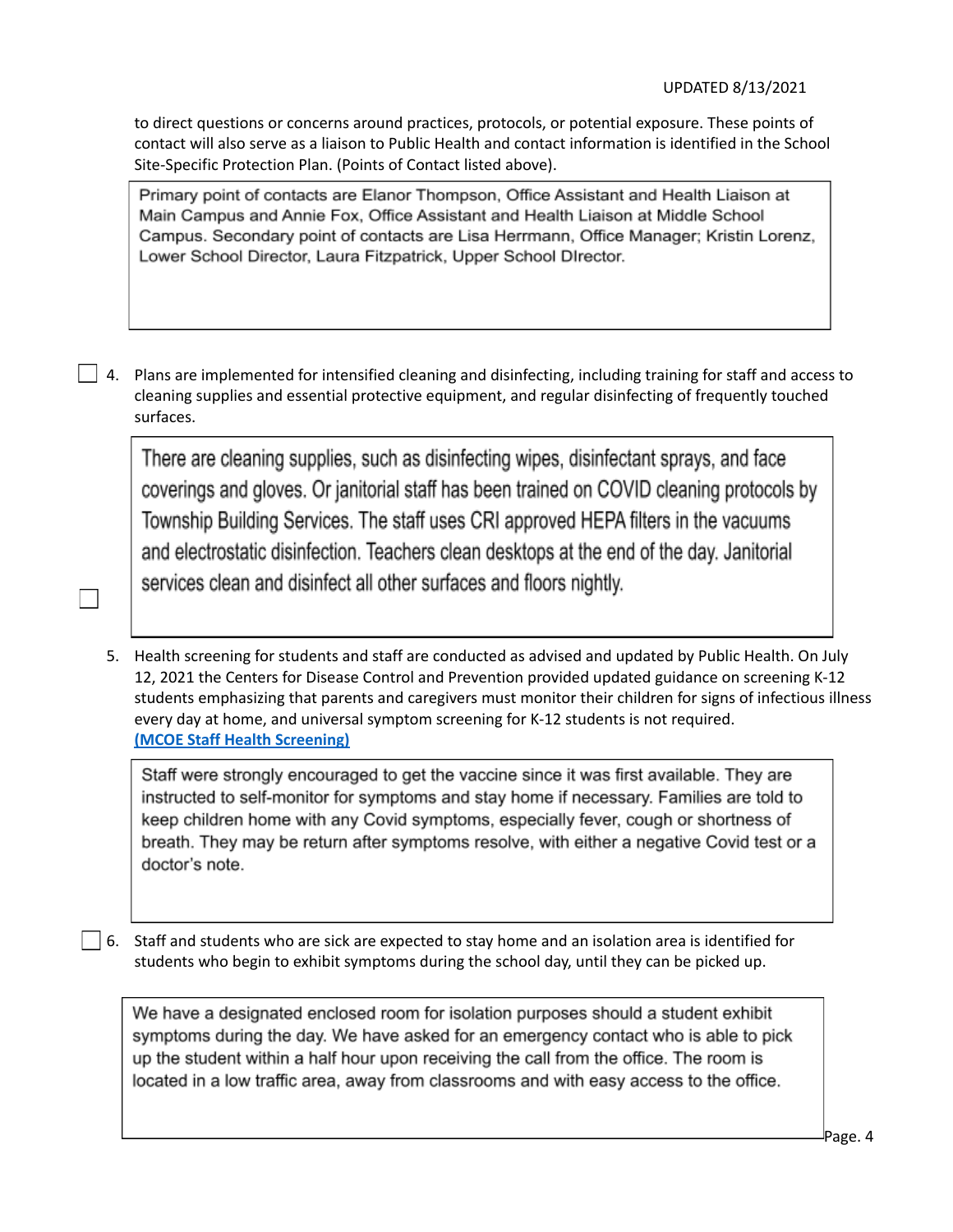to direct questions or concerns around practices, protocols, or potential exposure. These points of contact will also serve as a liaison to Public Health and contact information is identified in the School Site-Specific Protection Plan. (Points of Contact listed above).

Primary point of contacts are Elanor Thompson, Office Assistant and Health Liaison at Main Campus and Annie Fox, Office Assistant and Health Liaison at Middle School Campus. Secondary point of contacts are Lisa Herrmann, Office Manager; Kristin Lorenz, Lower School Director, Laura Fitzpatrick, Upper School DIrector.

 $\Box$  4. Plans are implemented for intensified cleaning and disinfecting, including training for staff and access to cleaning supplies and essential protective equipment, and regular disinfecting of frequently touched surfaces.

There are cleaning supplies, such as disinfecting wipes, disinfectant sprays, and face coverings and gloves. Or janitorial staff has been trained on COVID cleaning protocols by Township Building Services. The staff uses CRI approved HEPA filters in the vacuums and electrostatic disinfection. Teachers clean desktops at the end of the day. Janitorial services clean and disinfect all other surfaces and floors nightly.

 $\Box$ 

5. Health screening for students and staff are conducted as advised and updated by Public Health. On July 12, 2021 the Centers for Disease Control and Prevention provided updated guidance on screening K-12 students emphasizing that parents and caregivers must monitor their children for signs of infectious illness every day at home, and universal symptom screening for K-12 students is not required. **(MCOE Staff Health [Screening\)](https://docs.google.com/document/d/1TCBqtXevKSoikKID0SmGq4uzYhIT7UNDlu9pm1Hnzn0/edit?usp=sharing)**

Staff were strongly encouraged to get the vaccine since it was first available. They are instructed to self-monitor for symptoms and stay home if necessary. Families are told to keep children home with any Covid symptoms, especially fever, cough or shortness of breath. They may be return after symptoms resolve, with either a negative Covid test or a doctor's note.

6. Staff and students who are sick are expected to stay home and an isolation area is identified for students who begin to exhibit symptoms during the school day, until they can be picked up.

We have a designated enclosed room for isolation purposes should a student exhibit symptoms during the day. We have asked for an emergency contact who is able to pick up the student within a half hour upon receiving the call from the office. The room is located in a low traffic area, away from classrooms and with easy access to the office.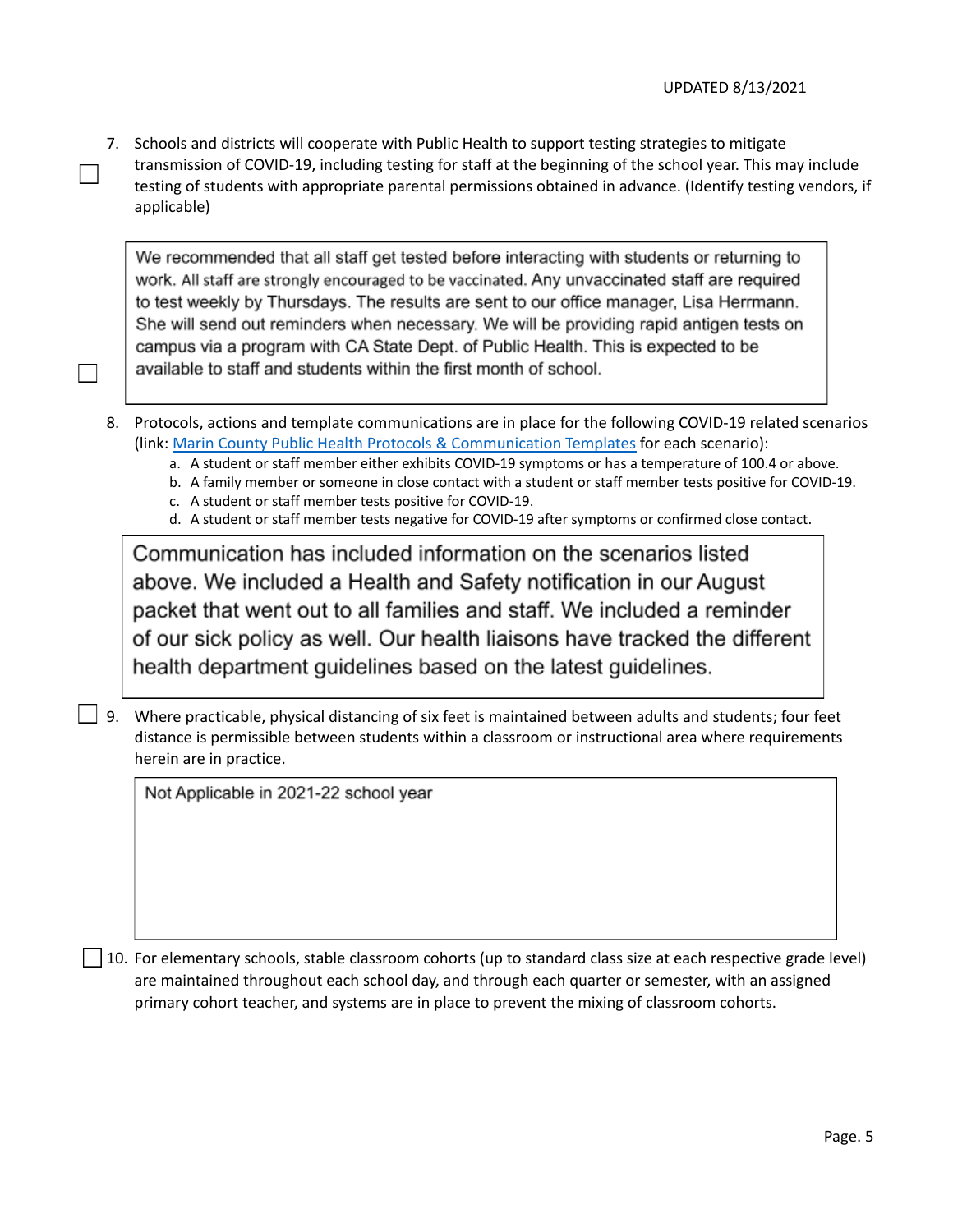7. Schools and districts will cooperate with Public Health to support testing strategies to mitigate transmission of COVID-19, including testing for staff at the beginning of the school year. This may include testing of students with appropriate parental permissions obtained in advance. (Identify testing vendors, if applicable)

We recommended that all staff get tested before interacting with students or returning to work. All staff are strongly encouraged to be vaccinated. Any unvaccinated staff are required to test weekly by Thursdays. The results are sent to our office manager, Lisa Herrmann. She will send out reminders when necessary. We will be providing rapid antigen tests on campus via a program with CA State Dept. of Public Health. This is expected to be available to staff and students within the first month of school.

- 8. Protocols, actions and template communications are in place for the following COVID-19 related scenarios (link: Marin County Public Health Protocols & [Communication](https://drive.google.com/file/d/1nG1aGYEhvIgaLpR2iBaL_o0hdptTeHWu/view?usp=sharing) Templates for each scenario):
	- a. A student or staff member either exhibits COVID-19 symptoms or has a temperature of 100.4 or above.
	- b. A family member or someone in close contact with a student or staff member tests positive for COVID-19.
	- c. A student or staff member tests positive for COVID-19.
	- d. A student or staff member tests negative for COVID-19 after symptoms or confirmed close contact.

Communication has included information on the scenarios listed above. We included a Health and Safety notification in our August packet that went out to all families and staff. We included a reminder of our sick policy as well. Our health liaisons have tracked the different health department guidelines based on the latest guidelines.

 $\Box$  9. Where practicable, physical distancing of six feet is maintained between adults and students; four feet distance is permissible between students within a classroom or instructional area where requirements herein are in practice.

Not Applicable in 2021-22 school year

10. For elementary schools, stable classroom cohorts (up to standard class size at each respective grade level) are maintained throughout each school day, and through each quarter or semester, with an assigned primary cohort teacher, and systems are in place to prevent the mixing of classroom cohorts.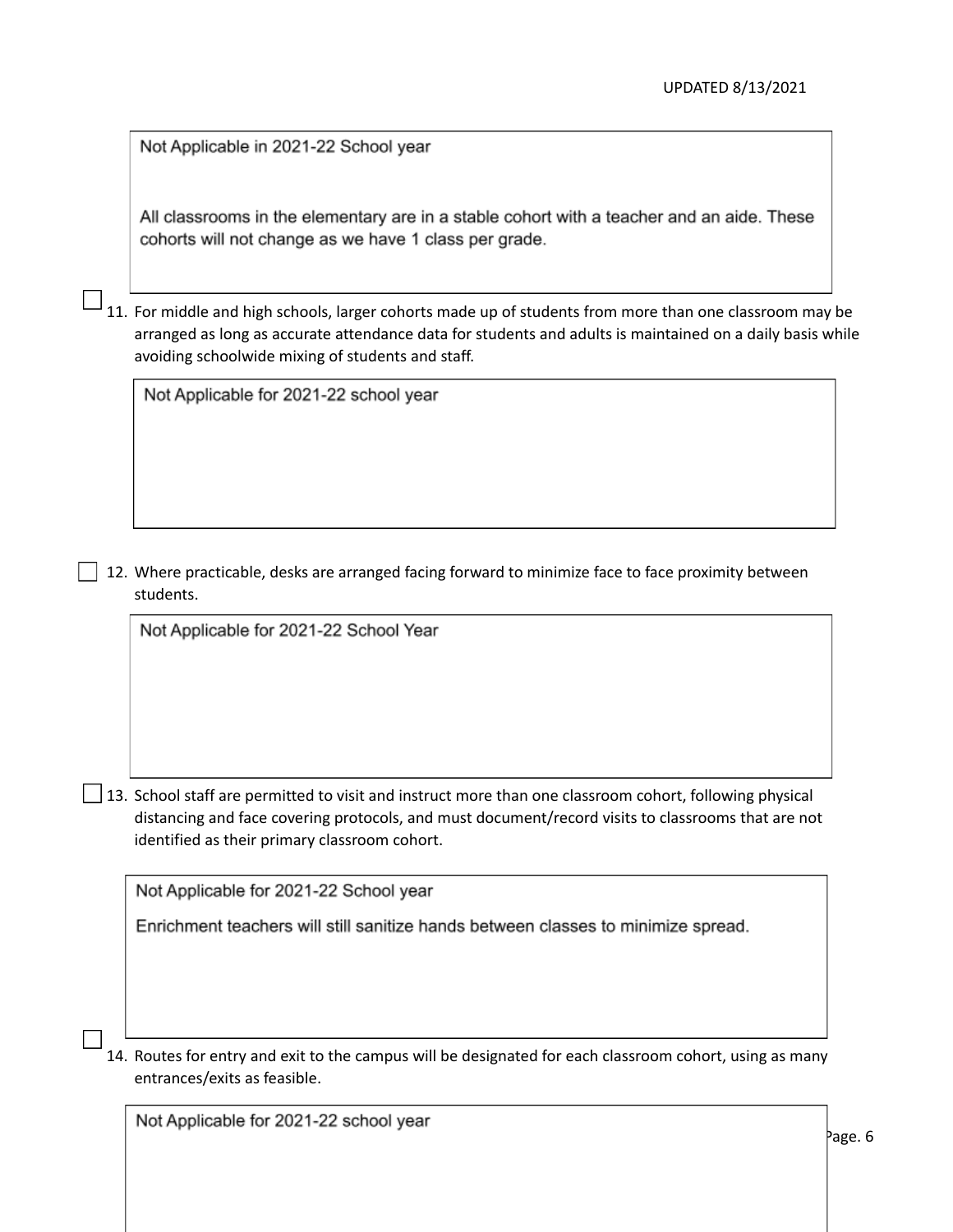Not Applicable in 2021-22 School year

All classrooms in the elementary are in a stable cohort with a teacher and an aide. These cohorts will not change as we have 1 class per grade.

11. For middle and high schools, larger cohorts made up of students from more than one classroom may be arranged as long as accurate attendance data for students and adults is maintained on a daily basis while avoiding schoolwide mixing of students and staff.

Not Applicable for 2021-22 school year

12. Where practicable, desks are arranged facing forward to minimize face to face proximity between students.

Not Applicable for 2021-22 School Year

 $\Box$  13. School staff are permitted to visit and instruct more than one classroom cohort, following physical distancing and face covering protocols, and must document/record visits to classrooms that are not identified as their primary classroom cohort.

Not Applicable for 2021-22 School year

Enrichment teachers will still sanitize hands between classes to minimize spread.

14. Routes for entry and exit to the campus will be designated for each classroom cohort, using as many entrances/exits as feasible.

Not Applicable for 2021-22 school year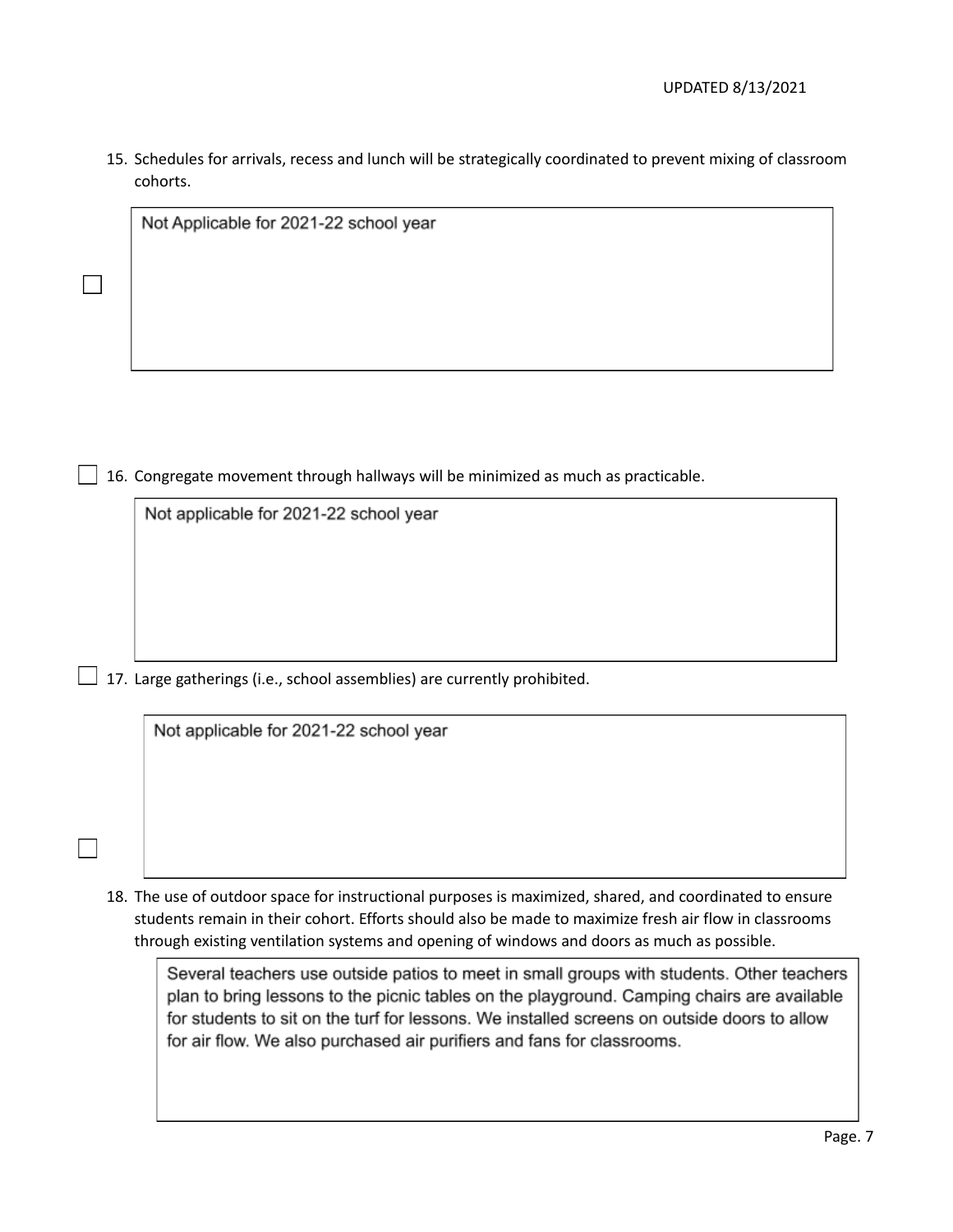15. Schedules for arrivals, recess and lunch will be strategically coordinated to prevent mixing of classroom cohorts.

Not Applicable for 2021-22 school year

 $\Box$  16. Congregate movement through hallways will be minimized as much as practicable.

Not applicable for 2021-22 school year

 $\Box$  17. Large gatherings (i.e., school assemblies) are currently prohibited.

Not applicable for 2021-22 school year

18. The use of outdoor space for instructional purposes is maximized, shared, and coordinated to ensure students remain in their cohort. Efforts should also be made to maximize fresh air flow in classrooms through existing ventilation systems and opening of windows and doors as much as possible.

Several teachers use outside patios to meet in small groups with students. Other teachers plan to bring lessons to the picnic tables on the playground. Camping chairs are available for students to sit on the turf for lessons. We installed screens on outside doors to allow for air flow. We also purchased air purifiers and fans for classrooms.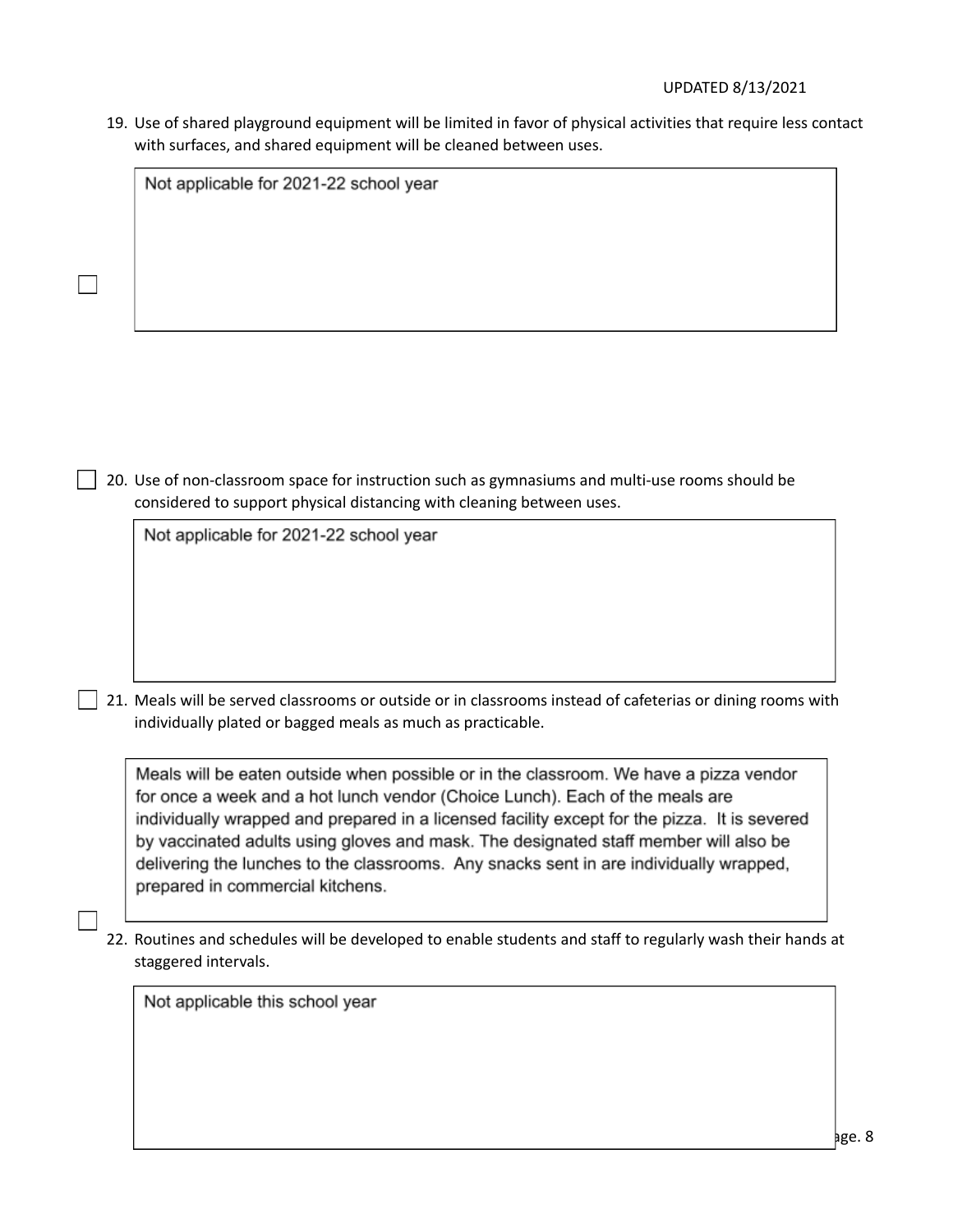19. Use of shared playground equipment will be limited in favor of physical activities that require less contact with surfaces, and shared equipment will be cleaned between uses.

Not applicable for 2021-22 school year

20. Use of non-classroom space for instruction such as gymnasiums and multi-use rooms should be considered to support physical distancing with cleaning between uses.

Not applicable for 2021-22 school year

21. Meals will be served classrooms or outside or in classrooms instead of cafeterias or dining rooms with individually plated or bagged meals as much as practicable.

Meals will be eaten outside when possible or in the classroom. We have a pizza vendor for once a week and a hot lunch vendor (Choice Lunch). Each of the meals are individually wrapped and prepared in a licensed facility except for the pizza. It is severed by vaccinated adults using gloves and mask. The designated staff member will also be delivering the lunches to the classrooms. Any snacks sent in are individually wrapped, prepared in commercial kitchens.

22. Routines and schedules will be developed to enable students and staff to regularly wash their hands at staggered intervals.

Not applicable this school year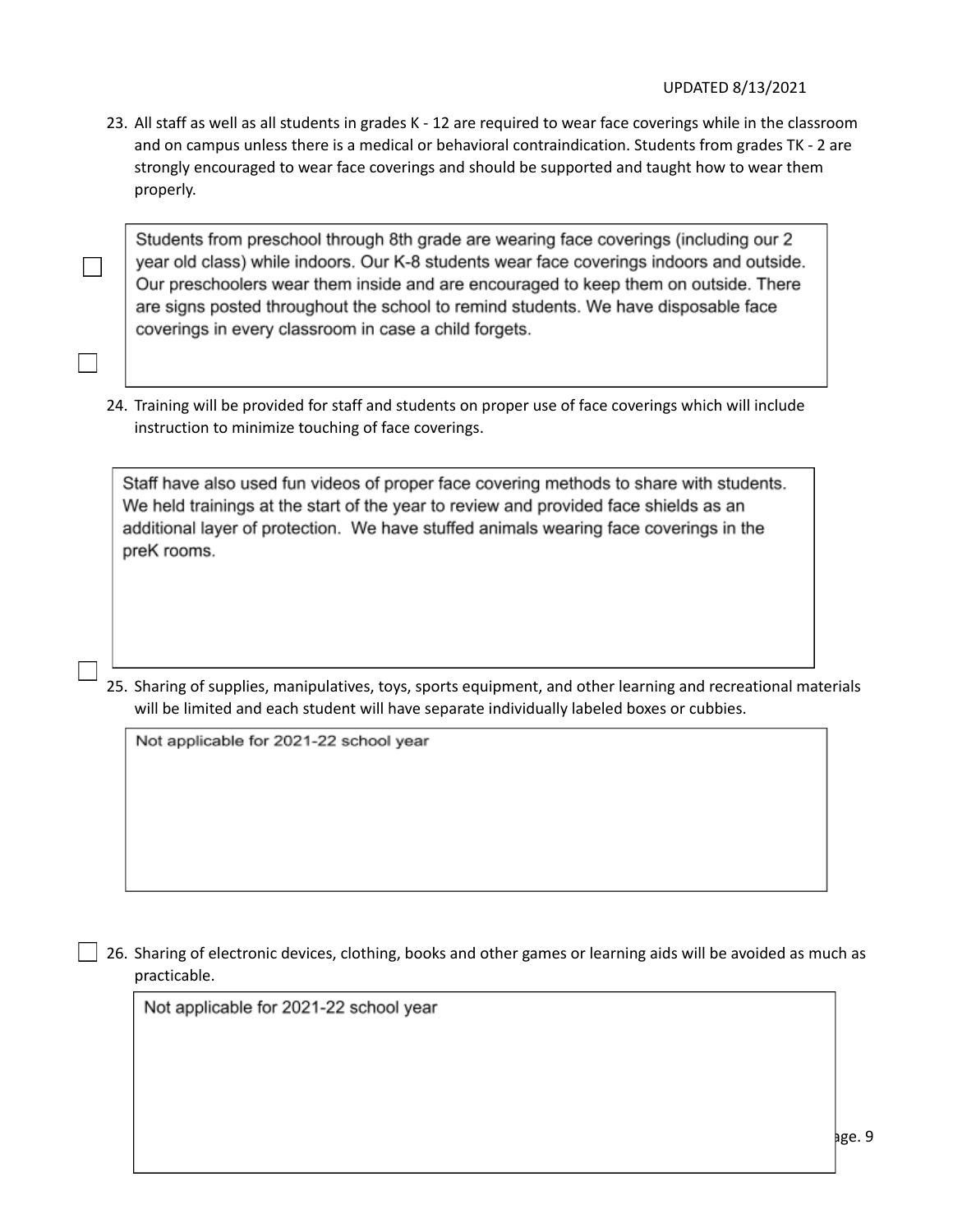23. All staff as well as all students in grades K - 12 are required to wear face coverings while in the classroom and on campus unless there is a medical or behavioral contraindication. Students from grades TK - 2 are strongly encouraged to wear face coverings and should be supported and taught how to wear them properly.

Students from preschool through 8th grade are wearing face coverings (including our 2 year old class) while indoors. Our K-8 students wear face coverings indoors and outside. Our preschoolers wear them inside and are encouraged to keep them on outside. There are signs posted throughout the school to remind students. We have disposable face coverings in every classroom in case a child forgets.

24. Training will be provided for staff and students on proper use of face coverings which will include instruction to minimize touching of face coverings.

Staff have also used fun videos of proper face covering methods to share with students. We held trainings at the start of the year to review and provided face shields as an additional layer of protection. We have stuffed animals wearing face coverings in the preK rooms.

25. Sharing of supplies, manipulatives, toys, sports equipment, and other learning and recreational materials will be limited and each student will have separate individually labeled boxes or cubbies.

Not applicable for 2021-22 school year

 $\Box$  26. Sharing of electronic devices, clothing, books and other games or learning aids will be avoided as much as practicable.

Not applicable for 2021-22 school year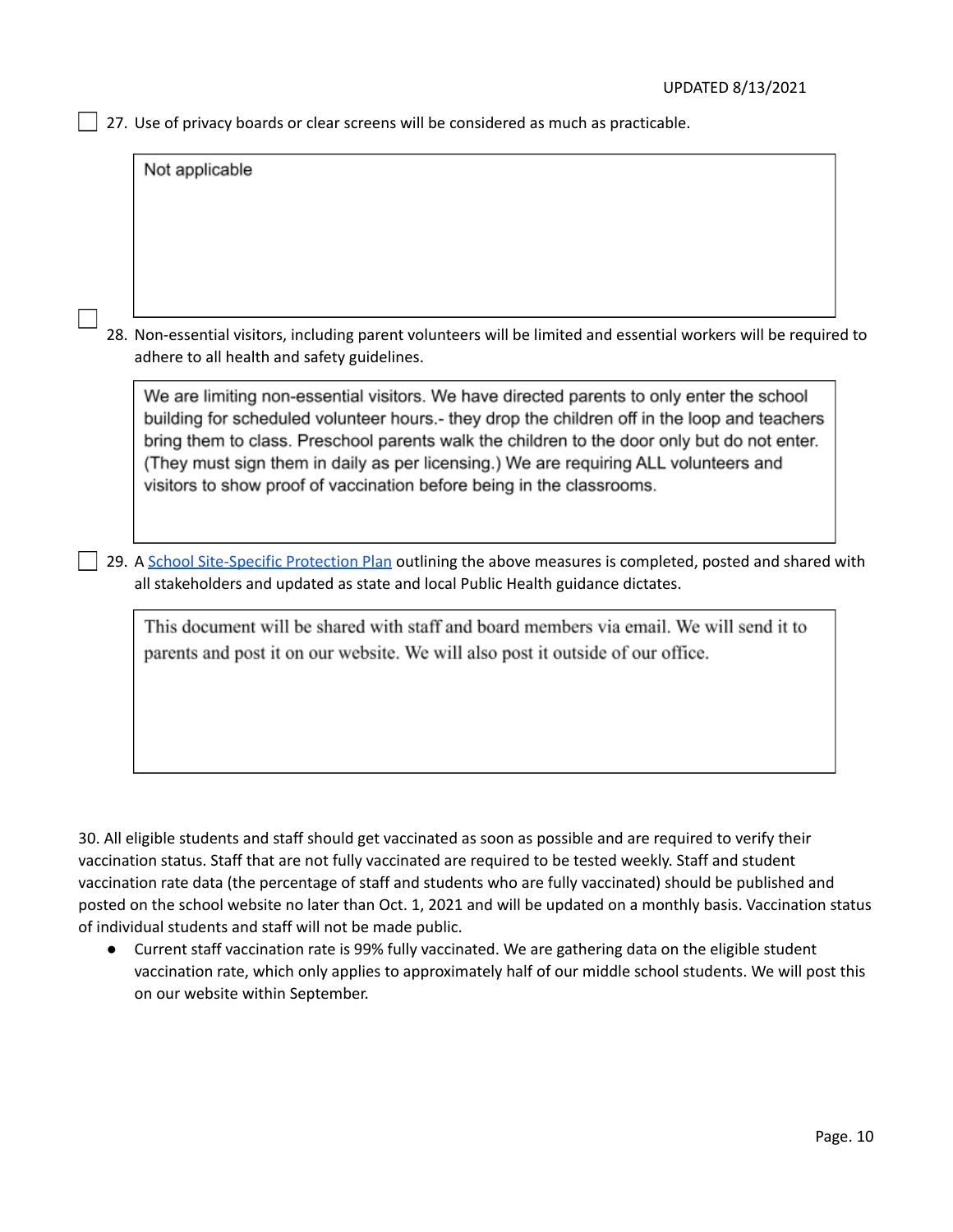$\Box$  27. Use of privacy boards or clear screens will be considered as much as practicable.

Not applicable 28. Non-essential visitors, including parent volunteers will be limited and essential workers will be required to adhere to all health and safety guidelines. We are limiting non-essential visitors. We have directed parents to only enter the school building for scheduled volunteer hours.- they drop the children off in the loop and teachers bring them to class. Preschool parents walk the children to the door only but do not enter. (They must sign them in daily as per licensing.) We are requiring ALL volunteers and visitors to show proof of vaccination before being in the classrooms. 29. A School [Site-Specific](https://drive.google.com/file/d/11dT9HnY568M1fgCAXerOL1bzmvrC9YSs/view) Protection Plan outlining the above measures is completed, posted and shared with all stakeholders and updated as state and local Public Health guidance dictates. This document will be shared with staff and board members via email. We will send it to parents and post it on our website. We will also post it outside of our office.

30. All eligible students and staff should get vaccinated as soon as possible and are required to verify their vaccination status. Staff that are not fully vaccinated are required to be tested weekly. Staff and student vaccination rate data (the percentage of staff and students who are fully vaccinated) should be published and posted on the school website no later than Oct. 1, 2021 and will be updated on a monthly basis. Vaccination status of individual students and staff will not be made public.

● Current staff vaccination rate is 99% fully vaccinated. We are gathering data on the eligible student vaccination rate, which only applies to approximately half of our middle school students. We will post this on our website within September.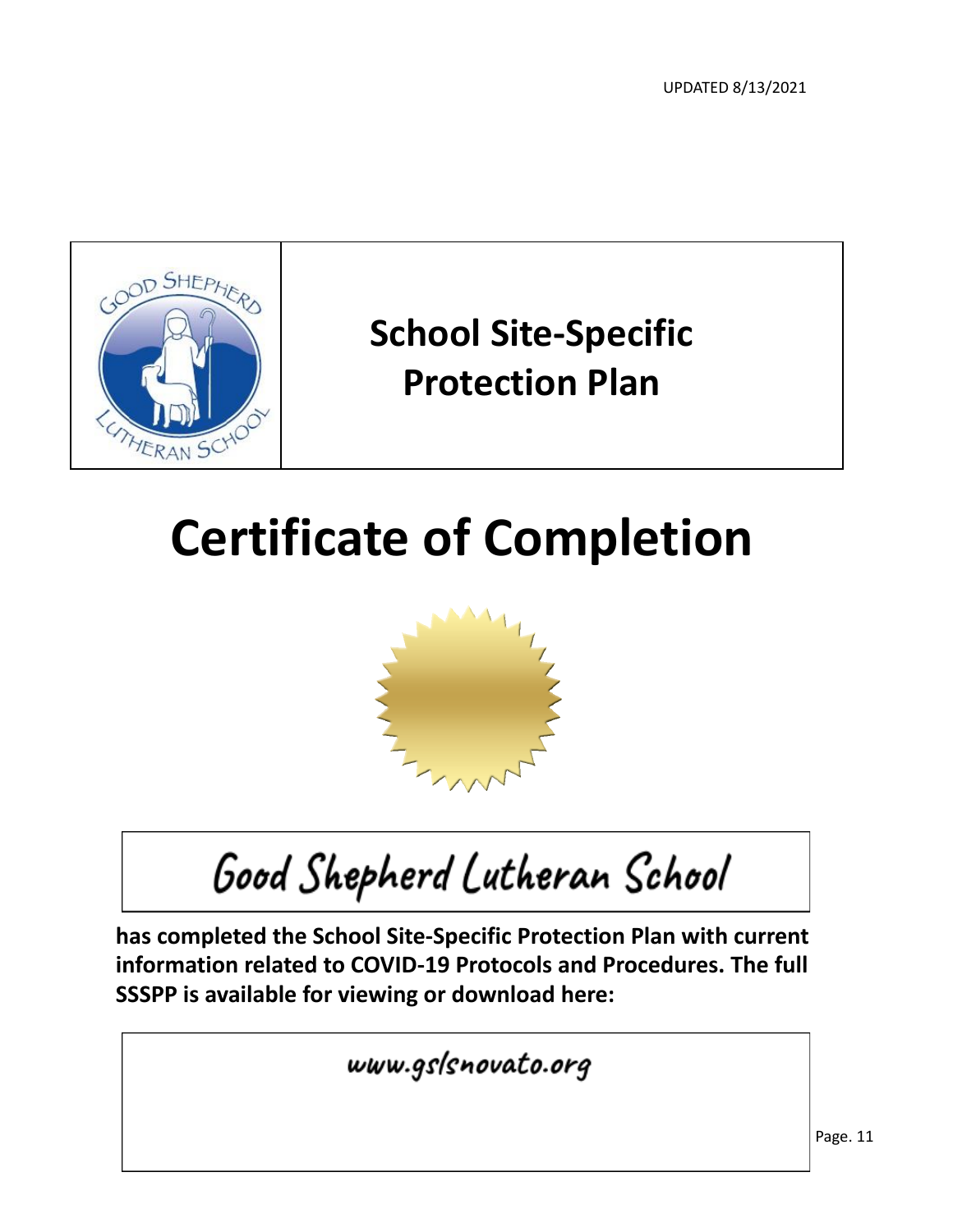UPDATED 8/13/2021



## **School Site-Specific Protection Plan**

# **Certificate of Completion**



Good Shepherd Lutheran School

**has completed the School Site-Specific Protection Plan with current information related to COVID-19 Protocols and Procedures. The full SSSPP is available for viewing or download here:**